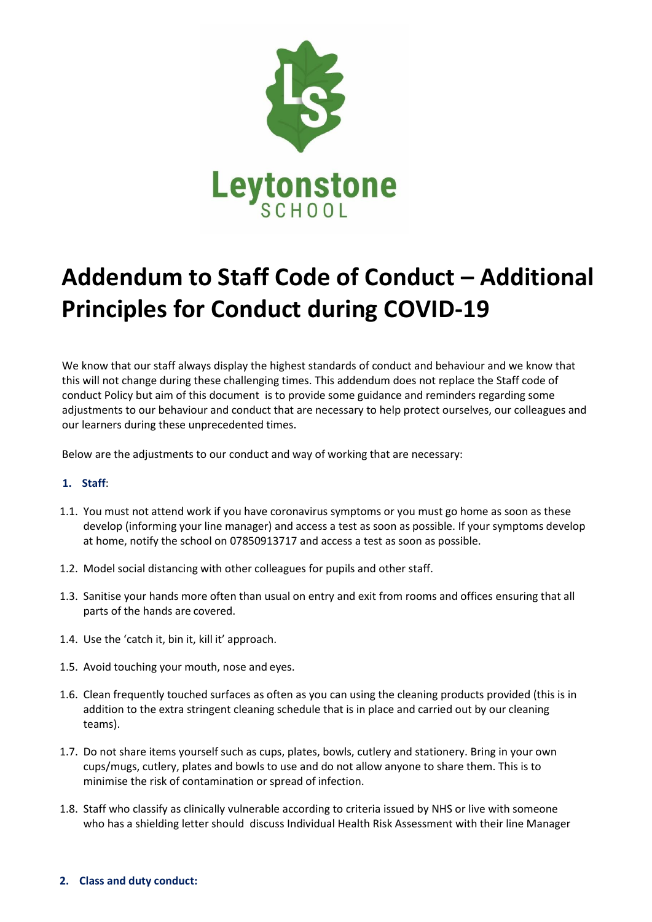

## **Addendum to Staff Code of Conduct – Additional Principles for Conduct during COVID-19**

We know that our staff always display the highest standards of conduct and behaviour and we know that this will not change during these challenging times. This addendum does not replace the Staff code of conduct Policy but aim of this document is to provide some guidance and reminders regarding some adjustments to our behaviour and conduct that are necessary to help protect ourselves, our colleagues and our learners during these unprecedented times.

Below are the adjustments to our conduct and way of working that are necessary:

## **1. Staff**:

- 1.1. You must not attend work if you have coronavirus symptoms or you must go home as soon as these develop (informing your line manager) and access a test as soon as possible. If your symptoms develop at home, notify the school on 07850913717 and access a test as soon as possible.
- 1.2. Model social distancing with other colleagues for pupils and other staff.
- 1.3. Sanitise your hands more often than usual on entry and exit from rooms and offices ensuring that all parts of the hands are covered.
- 1.4. Use the 'catch it, bin it, kill it' approach.
- 1.5. Avoid touching your mouth, nose and eyes.
- 1.6. Clean frequently touched surfaces as often as you can using the cleaning products provided (this is in addition to the extra stringent cleaning schedule that is in place and carried out by our cleaning teams).
- 1.7. Do not share items yourself such as cups, plates, bowls, cutlery and stationery. Bring in your own cups/mugs, cutlery, plates and bowls to use and do not allow anyone to share them. This is to minimise the risk of contamination or spread of infection.
- 1.8. Staff who classify as clinically vulnerable according to criteria issued by NHS or live with someone who has a shielding letter should discuss Individual Health Risk Assessment with their line Manager